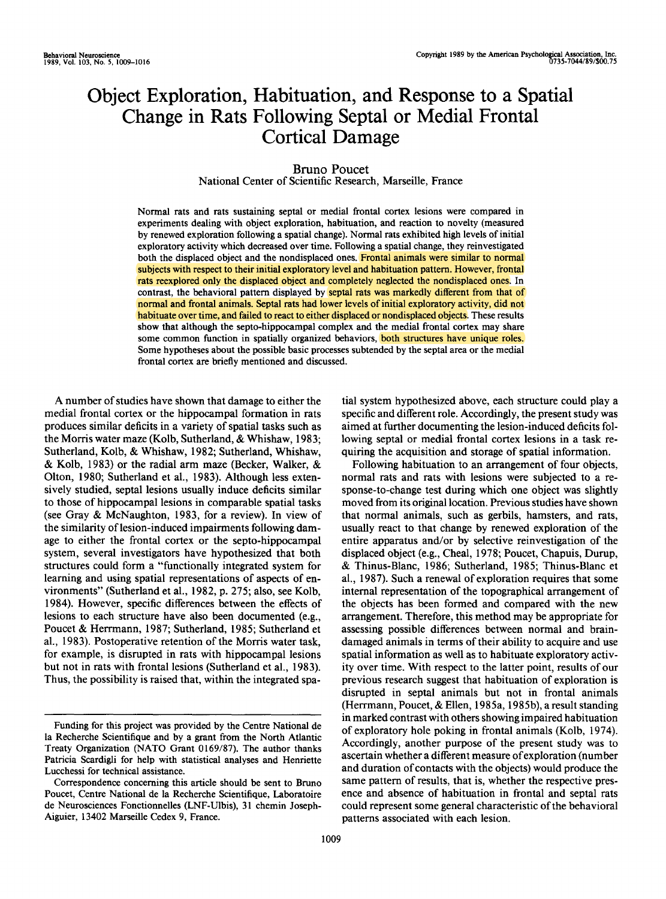# **Object Exploration, Habituation, and Response to a Spatial Change in Rats Following Septal or Medial Frontal Cortical Damage**

## Bruno Poucet

National Center of Scientific Research, Marseille, France

Normal rats and rats sustaining septal or medial frontal cortex lesions were compared in experiments dealing with object exploration, habituation, and reaction to novelty (measured by renewed exploration following a spatial change). Normal rats exhibited high levels of initial exploratory activity which decreased over time. Following a spatial change, they reinvestigated both the displaced object and the nondisplaced ones. Frontal animals were similar to normal subjects with respect to their initial exploratory level and habituation pattern. However, frontal rats reexplored only the displaced object and completely neglected the nondisplaced ones. In contrast, the behavioral pattern displayed by septal rats was markedly different from that of normal and frontal animals. Septal rats had lower levels of initial exploratory activity, did not habituate over time, and failed to react to either displaced or nondisplaced objects. These results show that although the septo-hippocampal complex and the medial frontal cortex may share some common function in spatially organized behaviors, both structures have unique roles. Some hypotheses about the possible basic processes subtended by the septal area or the medial frontal cortex are briefly mentioned and discussed.

A number of studies have shown that damage to either the medial frontal cortex or the hippocampal formation in rats produces similar deficits in a variety of spatial tasks such as the Morris water maze (Kolb, Sutherland, & Whishaw, 1983; Sutherland, Kolb, & Whishaw, 1982; Sutherland, Whishaw, & Kolb, 1983) or the radial arm maze (Becker, Walker, & Olton, 1980; Sutherland et al., 1983). Although less extensively studied, septal lesions usually induce deficits similar to those of hippocampal lesions in comparable spatial tasks (see Gray & McNaughton, 1983, for a review). In view of the similarity of lesion-induced impairments following damage to either the frontal cortex or the septo-hippocampal system, several investigators have hypothesized that both structures could form a "functionally integrated system for learning and using spatial representations of aspects of environments" (Sutherland et al., 1982, p. 275; also, see Kolb, 1984). However, specific differences between the effects of lesions to each structure have also been documented (e.g., Poucet & Herrmann, 1987; Sutherland, 1985; Sutherland et al., 1983). Postoperative retention of the Morris water task, for example, is disrupted in rats with hippocampal lesions but not in rats with frontal lesions (Sutherland et al., 1983). Thus, the possibility is raised that, within the integrated spa-

tial system hypothesized above, each structure could play a specific and different role. Accordingly, the present study was aimed at further documenting the lesion-induced deficits following septal or medial frontal cortex lesions in a task requiring the acquisition and storage of spatial information.

Following habituation to an arrangement of four objects, normal rats and rats with lesions were subjected to a response-to-change test during which one object was slightly moved from its original location. Previous studies have shown that normal animals, such as gerbils, hamsters, and rats, usually react to that change by renewed exploration of the entire apparatus and/or by selective reinvestigation of the displaced object (e.g., Cheal, 1978; Poucet, Chapuis, Durup, & Thinus-Blanc, 1986; Sutherland, 1985; Thinus-Blanc et al., 1987). Such a renewal of exploration requires that some internal representation of the topographical arrangement of the objects has been formed and compared with the new arrangement. Therefore, this method may be appropriate for assessing possible differences between normal and braindamaged animals in terms of their ability to acquire and use spatial information as well as to habituate exploratory activity over time. With respect to the latter point, results of our previous research suggest that habituation of exploration is disrupted in septal animals but not in frontal animals (Herrmann, Poucet, & Ellen, 1985a, 1985b), a result standing in marked contrast with others showing impaired habituation of exploratory hole poking in frontal animals (Kolb, 1974). Accordingly, another purpose of the present study was to ascertain whether a different measure of exploration (number and duration of contacts with the objects) would produce the same pattern of results, that is, whether the respective presence and absence of habituation in frontal and septal rats could represent some general characteristic of the behavioral patterns associated with each lesion.

Funding for this project was provided by the Centre National de la Recherche Scientifique and by a grant from the North Atlantic Treaty Organization (NATO Grant 0169/87). The author thanks Patricia Scardigli for help with statistical analyses and Henriette Lucchessi for technical assistance.

Correspondence concerning this article should be sent to Bruno Poucet, Centre National de la Recherche Scientifique, Laboratoire de Neurosciences Fonctionnelles (LNF-Ulbis), 31 chemin Joseph-Aiguier, 13402 Marseille Cedex 9, France.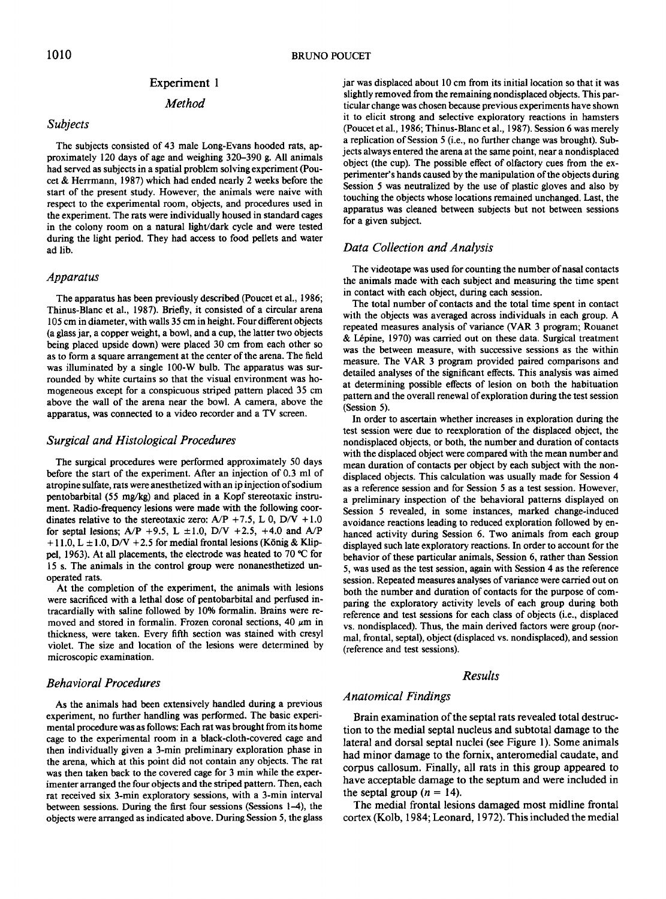#### Experiment 1

*Method* 

#### *Subjects*

The subjects consisted of 43 male Long-Evans hooded rats, approximately 120 days of age and weighing 320-390 g. All animals had served as subjects in a spatial problem solving experiment (Poucet & Herrmann, 1987) which had ended nearly 2 weeks before the start of the present study. However, the animals were naive with respect to the experimental room, objects, and procedures used in the experiment. The rats were individually housed in standard cages in the colony room on a natural light/dark cycle and were tested during the light period. They had access to food pellets and water ad lib.

#### *Apparatus*

The apparatus has been previously described (Poucet et al., 1986; Thinus-Blanc et al., 1987). Briefly, it consisted of a circular arena 105 cm in diameter, with walls 35 cm in height. Four different objects (a glass jar, a copper weight, a bowl, and a cup, the latter two objects being placed upside down) were placed 30 cm from each other so as to form a square arrangement at the center of the arena. The field was illuminated by a single 100-W bulb. The apparatus was surrounded by white curtains so that the visual environment was homogeneous except for a conspicuous striped pattern placed 35 cm above the wall of the arena near the bowl. A camera, above the apparatus, was connected to a video recorder and a TV screen.

#### *Surgical and Histological Procedures*

The surgical procedures were performed approximately 50 days before the start of the experiment. After an injection of 0.3 ml of atropine sulfate, rats were anesthetized with an ip injection of sodium pentobarbital (55 mg/kg) and placed in a Kopf stereotaxic instrument. Radio-frequency lesions were made with the following coordinates relative to the stereotaxic zero:  $A/P + 7.5$ , L 0, D/V + 1.0 for septal lesions;  $A/P +9.5$ , L  $\pm 1.0$ , D/V +2.5, +4.0 and A/P  $+11.0$ , L  $\pm 1.0$ , D/V  $+2.5$  for medial frontal lesions (König & Klippel, 1963). At all placements, the electrode was heated to 70  $\degree$ C for 15 s. The animals in the control group were nonanesthetized unoperated rats.

At the completion of the experiment, the animals with lesions were sacrificed with a lethal dose of pentobarbital and perfused intracardiaily with saline followed by 10% formalin. Brains were removed and stored in formalin. Frozen coronal sections, 40  $\mu$ m in thickness, were taken. Every fifth section was stained with cresyl violet. The size and location of the lesions were determined by microscopic examination.

## *Behavioral Procedures*

As the animals had been extensively handled during a previous experiment, no further handling was performed. The basic experimental procedure was as follows: Each rat was brought from its home cage to the experimental room in a black-cloth-covered cage and then individually given a 3-min preliminary exploration phase in the arena, which at this point did not contain any objects. The rat was then taken back to the covered cage for 3 min while the experimenter arranged the four objects and the striped pattern. Then, each rat received six 3-min exploratory sessions, with a 3-min interval between sessions. During the first four sessions (Sessions 1-4), the objects were arranged as indicated above. During Session 5, the glass jar was displaced about 10 cm from its initial location so that it was slightly removed from the remaining nondisplaced objects. This particular change was chosen because previous experiments have shown it to elicit strong and selective exploratory reactions in hamsters (Poucet et al., 1986; Thinus-Blanc et al., 1987). Session 6 was merely a replication of Session 5 (i.e., no further change was brought). Subjects always entered the arena at the same point, near a nondisplaced object (the cup). The possible effect of olfactory cues from the experimenter's hands caused by the manipulation of the objects during Session 5 was neutralized by the use of plastic gloves and also by touching the objects whose locations remained unchanged. Last, the apparatus was cleaned between subjects but not between sessions for a given subject.

## *Data Collection and Analysis*

The videotape was used for counting the number of nasal contacts the animals made with each subject and measuring the time spent in contact with each object, during each session.

The total number of contacts and the total time spent in contact with the objects was averaged across individuals in each group. A repeated measures analysis of variance (VAR 3 program; Rouanet & Lépine, 1970) was carried out on these data. Surgical treatment was the between measure, with successive sessions as the within measure. The VAR 3 program provided paired comparisons and detailed analyses of the significant effects. This analysis was aimed at determining possible effects of lesion on both the habituation pattern and the overall renewal of exploration during the test session (Session 5).

In order to ascertain whether increases in exploration during the test session were due to reexploration of the displaced object, the nondisplaced objects, or both, the number and duration of contacts with the displaced object were compared with the mean number and mean duration of contacts per object by each subject with the nondisplaced objects. This calculation was usually made for Session 4 as a reference session and for Session 5 as a test session. However, a preliminary inspection of the behavioral patterns displayed on Session 5 revealed, in some instances, marked change-induced avoidance reactions leading to reduced exploration followed by enhanced activity during Session 6. Two animals from each group displayed such late exploratory reactions. In order to account for the behavior of these particular animals, Session 6, rather than Session 5, was used as the test session, again with Session 4 as the reference session. Repeated measures analyses of variance were carried out on both the number and duration of contacts for the purpose of comparing the exploratory activity levels of each group during both reference and test sessions for each class of objects (i.e., displaced vs. nondisplaced). Thus, the main derived factors were group (normal, frontal, septal), object (displaced vs. nondisplaced), and session (reference and test sessions).

## *Results*

## *Anatomical Findings*

Brain examination of the septal rats revealed total destruction to the medial septal nucleus and subtotal damage to the lateral and dorsal septal nuclei (see Figure 1). Some animals had minor damage to the fornix, anteromedial caudate, and corpus callosum. Finally, all rats in this group appeared to have acceptable damage to the septum and were included in the septal group  $(n = 14)$ .

The medial frontal lesions damaged most midline frontal cortex (Kolb, 1984; Leonard, 1972). This included the medial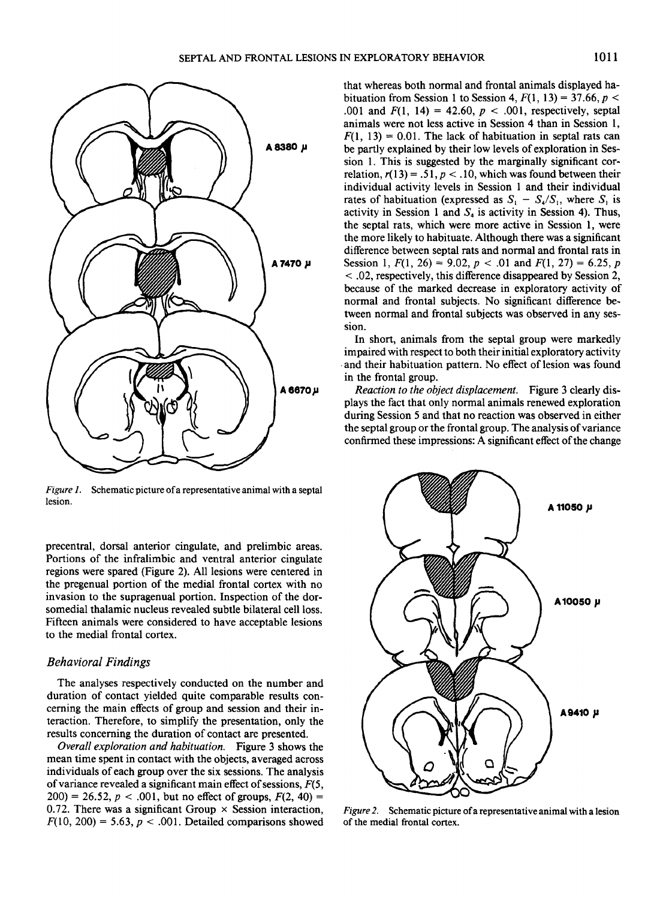



*Figure 1.* Schematic picture of a representative animal with a septal lesion.

precentral, dorsal anterior cingulate, and prelimbic areas. Portions of the infralimbic and ventral anterior cingulate regions were spared (Figure 2). All lesions were centered in the pregenual portion of the medial frontal cortex with no invasion to the supragenual portion. Inspection of the dorsomedial thalamic nucleus revealed subtle bilateral cell loss. Fifteen animals were considered to have acceptable lesions to the medial frontal cortex.

## *Behavioral Findings*

The analyses respectively conducted on the number and duration of contact yielded quite comparable results concerning the main effects of group and session and their interaction. Therefore, to simplify the presentation, only the results concerning the duration of contact are presented.

*Overall exploration and habituation.* Figure 3 shows the mean time spent in contact with the objects, averaged across individuals of each group over the six sessions. The analysis of variance revealed a significant main effect of sessions,  $F(5, 1)$  $200 = 26.52, p < .001$ , but no effect of groups,  $F(2, 40) =$ 0.72. There was a significant Group  $\times$  Session interaction,  $F(10, 200) = 5.63$ ,  $p < .001$ . Detailed comparisons showed that whereas both normal and frontal animals displayed habituation from Session 1 to Session 4,  $F(1, 13) = 37.66$ ,  $p <$ .001 and  $F(1, 14) = 42.60, p < .001$ , respectively, septal animals were not less active in Session 4 than in Session l,  $F(1, 13) = 0.01$ . The lack of habituation in septal rats can be partly explained by their low levels of exploration in Session 1. This is suggested by the marginally significant correlation,  $r(13) = .51$ ,  $p < .10$ , which was found between their individual activity levels in Session 1 and their individual rates of habituation (expressed as  $S_1 - S_4/S_1$ , where  $S_1$  is activity in Session 1 and  $S_4$  is activity in Session 4). Thus, the septal rats, which were more active in Session 1, were the more likely to habituate. Although there was a significant difference between septal rats and normal and frontal rats in Session 1,  $F(1, 26) = 9.02$ ,  $p < .01$  and  $F(1, 27) = 6.25$ , p < .02, respectively, this difference disappeared by Session 2, because of the marked decrease in exploratory activity of normal and frontal subjects. No significant difference between normal and frontal subjects was observed in any session.

In short, animals from the septal group were markedly impaired with respect to both their initial exploratory activity and their habituation pattern. No effect of lesion was found in the frontal group.

*Reaction to the object displacement.* Figure 3 clearly displays the fact that only normal animals renewed exploration during Session 5 and that no reaction was observed in either the septal group or the frontal group. The analysis of variance confirmed these impressions: A significant effect of the change



*Figure 2.* Schematic picture of a representative animal with a lesion of the medial frontal cortex.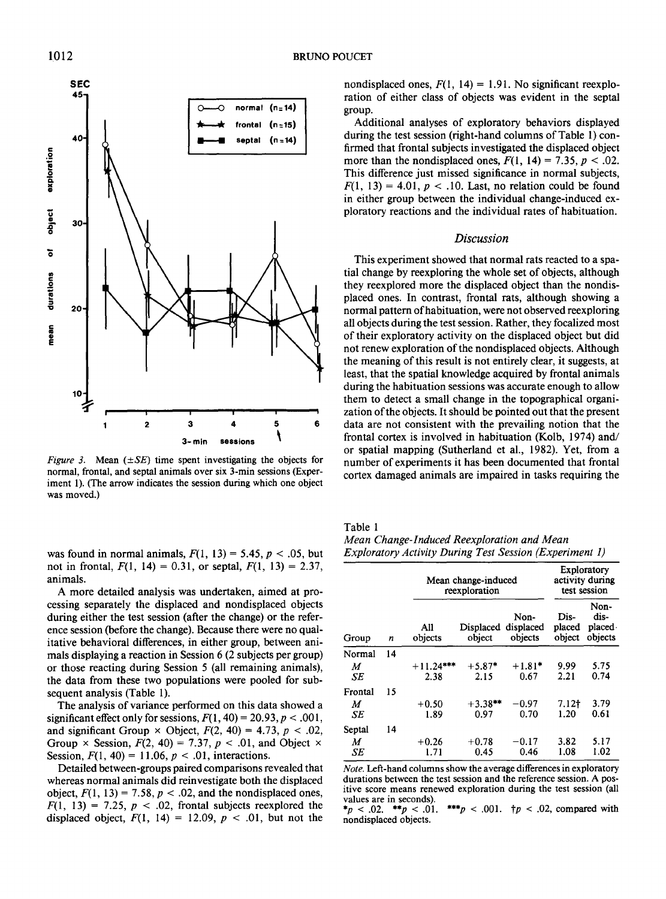

*Figure 3.* Mean  $(\pm SE)$  time spent investigating the objects for normal, frontal, and septal animals over six 3-min sessions (Experiment 1). (The arrow indicates the session during which one object was moved.)

was found in normal animals,  $F(1, 13) = 5.45$ ,  $p < .05$ , but not in frontal,  $F(1, 14) = 0.31$ , or septal,  $F(1, 13) = 2.37$ , animals.

A more detailed analysis was undertaken, aimed at processing separately the displaced and nondisplaced objects during either the test session (after the change) or the reference session (before the change). Because there were no qualitative behavioral differences, in either group, between animals displaying a reaction in Session 6 (2 subjects per group) or those reacting during Session 5 (all remaining animals), the data from these two populations were pooled for subsequent analysis (Table 1).

The analysis of variance performed on this data showed a significant effect only for sessions,  $F(1, 40) = 20.93$ ,  $p < .001$ , and significant Group  $\times$  Object,  $F(2, 40) = 4.73$ ,  $p < .02$ , Group  $\times$  Session,  $F(2, 40) = 7.37$ ,  $p < .01$ , and Object  $\times$ Session,  $F(1, 40) = 11.06$ ,  $p < .01$ , interactions.

Detailed between-groups paired comparisons revealed that whereas normal animals did reinvestigate both the displaced object,  $F(1, 13) = 7.58$ ,  $p < .02$ , and the nondisplaced ones,  $F(1, 13) = 7.25$ ,  $p < .02$ , frontal subjects reexplored the displaced object,  $F(1, 14) = 12.09$ ,  $p < .01$ , but not the

nondisplaced ones,  $F(1, 14) = 1.91$ . No significant reexploration of either class of objects was evident in the septal group.

Additional analyses of exploratory behaviors displayed during the test session (right-hand columns of Table l) confirmed that frontal subjects investigated the displaced object more than the nondisplaced ones,  $F(1, 14) = 7.35$ ,  $p < .02$ . This difference just missed significance in normal subjects,  $F(1, 13) = 4.01$ ,  $p < .10$ . Last, no relation could be found in either group between the individual change-induced exploratory reactions and the individual rates of habituation.

## *Discussion*

This experiment showed that normal rats reacted to a spatial change by reexploring the whole set of objects, although they reexplored more the displaced object than the nondisplaced ones. In contrast, frontal rats, although showing a normal pattern of habituation, were not observed reexploring all objects during the test session. Rather, they focalized most of their exploratory activity on the displaced object but did not renew exploration of the nondisplaced objects. Although the meaning of this result is not entirely clear, it suggests, at least, that the spatial knowledge acquired by frontal animals during the habituation sessions was accurate enough to allow them to detect a small change in the topographical organization of the objects. It should be pointed out that the present data are not consistent with the prevailing notion that the frontal cortex is involved in habituation (Kolb, 1974) and/ or spatial mapping (Sutherland et al., 1982). Yet, from a number of experiments it has been documented that frontal cortex damaged animals are impaired in tasks requiring the

Table 1

| Mean Change-Induced Reexploration and Mean                     |  |
|----------------------------------------------------------------|--|
| <b>Exploratory Activity During Test Session (Experiment 1)</b> |  |

| Group   | n  | Mean change-induced<br>reexploration | Exploratory<br>activity during<br>test session |                              |                          |                                   |
|---------|----|--------------------------------------|------------------------------------------------|------------------------------|--------------------------|-----------------------------------|
|         |    | All<br>objects                       | Displaced<br>object                            | Non-<br>displaced<br>objects | Dis-<br>placed<br>object | Non-<br>dis-<br>placed<br>objects |
| Normal  | 14 |                                      |                                                |                              |                          |                                   |
| M<br>SE |    | $+11.24***$<br>2.38                  | $+5.87*$<br>2.15                               | $+1.81*$<br>0.67             | 9.99<br>2.21             | 5.75<br>0.74                      |
| Frontal | 15 |                                      |                                                |                              |                          |                                   |
| M<br>SE |    | $+0.50$<br>1.89                      | $+3.38**$<br>0.97                              | -0.97<br>0.70                | $7.12+$<br>1.20          | 3.79<br>0.61                      |
| Septal  | 14 |                                      |                                                |                              |                          |                                   |
| M<br>SE |    | $+0.26$<br>1.71                      | $+0.78$<br>0.45                                | $-0.17$<br>0.46              | 3.82<br>1.08             | 5.17<br>1.02                      |

*Note.* Left-hand columns show the average differences in exploratory durations between the test session and the reference session. A positive score means renewed exploration during the test session (all values are in seconds).<br>\* $p < .02$ . \*\* $p < .01$ .

\*\*\* $p < .001$ .  $\uparrow p < .02$ , compared with nondisplaced objects.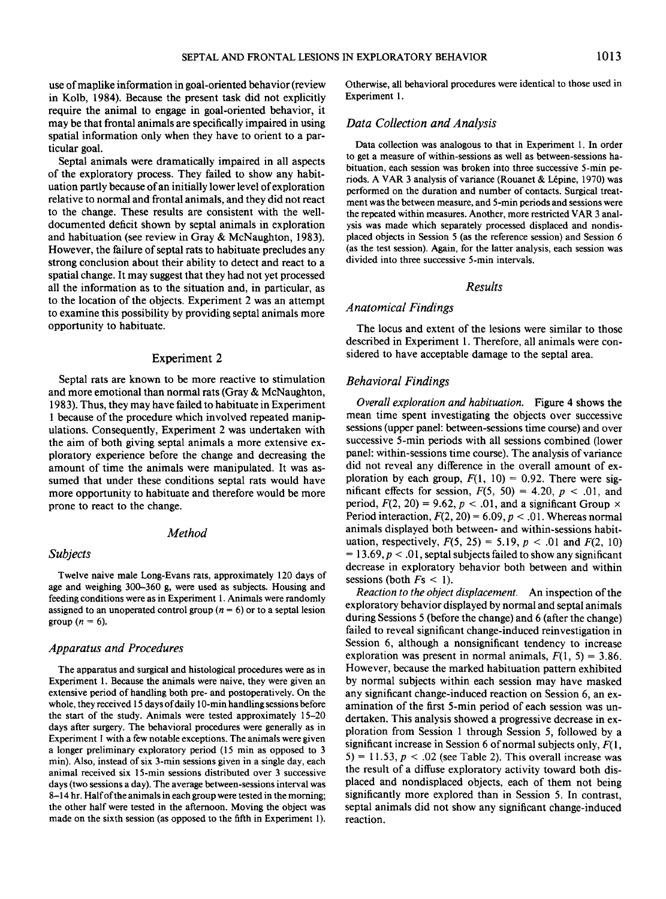use of maplike information in goal-oriented behavior (review in Kolb, 1984). Because the present task did not explicitly require the animal to engage in goal-oriented behavior, it may be that frontal animals are specifically impaired in using spatial information only when they have to orient to a particular goal.

Septal animals were dramatically impaired in all aspects of the exploratory process. They failed to show any habituation partly because of an initially lower level of exploration relative to normal and frontal animals, and they did not react to the change. These results are consistent with the welldocumented deficit shown by septal animals in exploration and habituation (see review in Gray & McNaughton, 1983). However, the failure of septal rats to habituate precludes any strong conclusion about their ability to detect and react to a spatial change. It may suggest that they had not yet processed all the information as to the situation and, in particular, as to the location of the objects. Experiment 2 was an attempt to examine this possibility by providing septal animals more opportunity to habituate.

#### Experiment 2

Septal rats are known to be more reactive to stimulation and more emotional than normal rats (Gray & McNaughton, 1983). Thus, they may have failed to habituate in Experiment 1 because of the procedure which involved repeated manipulations. Consequently, Experiment 2 was undertaken with the aim of both giving septal animals a more extensive exploratory experience before the change and decreasing the amount of time the animals were manipulated. It was assumed that under these conditions septal rats would have more opportunity to habituate and therefore would be more prone to react to the change.

## *Method*

#### *Subjects*

Twelve naive male Long-Evans rats, approximately 120 days of age and weighing 300-360 g, were used as subjects. Housing and feeding conditions were as in Experiment 1. Animals were randomly assigned to an unoperated control group ( $n = 6$ ) or to a septal lesion group  $(n = 6)$ .

#### *Apparatus and Procedures*

The apparatus and surgical and histological procedures were as in Experiment I. Because the animals were naive, they were given an extensive period of handling both pre- and postoperatively. On the whole, they received 15 days of daily 10-min handling sessions before the start of the study. Animals were tested approximately 15-20 days after surgery. The behavioral procedures were generally as in Experiment 1 with a few notable exceptions. The animals were given a longer preliminary exploratory period (15 min as opposed to 3 min). Also, instead of six 3-min sessions given in a single day, each animal received six 15-min sessions distributed over 3 successive days (two sessions a day). The average between-sessions interval was 8-14 hr. Half of the animals in each group were tested in the morning; the other half were tested in the afternoon. Moving the object was made on the sixth session (as opposed to the fifth in Experiment l). Otherwise, all behavioral procedures were identical to those used in Experiment 1.

## *Data Collection and Analysis*

Data collection was analogous to that in Experiment 1. In order to get a measure of within-sessions as well as between-sessions habituation, each session was broken into three successive 5-min periods. A VAR 3 analysis of variance (Rouanet & l\_kpine, 1970) was performed on the duration and number of contacts. Surgical treatment was the between measure, and 5-min periods and sessions were the repeated within measures. Another, more restricted VAR 3 analysis was made which separately processed displaced and nondisplaced objects in Session 5 (as the reference session) and Session 6 (as the test session). Again, for the latter analysis, each session was divided into three successive 5-min intervals.

#### *Results*

## *Anatomical Findings*

The locus and extent of the lesions were similar to those described in Experiment 1. Therefore, all animals were considered to have acceptable damage to the septal area.

#### *Behavioral Findings*

*Overall exploration and habituation.* Figure 4 shows the mean time spent investigating the objects over successive sessions (upper panel: between-sessions time course) and over successive 5-min periods with all sessions combined (lower panel: within-sessions time course). The analysis of variance did not reveal any difference in the overall amount of exploration by each group,  $F(1, 10) = 0.92$ . There were significant effects for session,  $F(5, 50) = 4.20$ ,  $p < .01$ , and period,  $F(2, 20) = 9.62$ ,  $p < .01$ , and a significant Group  $\times$ Period interaction,  $F(2, 20) = 6.09$ ,  $p < .01$ . Whereas normal animals displayed both between- and within-sessions habituation, respectively,  $F(5, 25) = 5.19$ ,  $p < .01$  and  $F(2, 10)$  $= 13.69$ ,  $p < 0.01$ , septal subjects failed to show any significant decrease in exploratory behavior both between and within sessions (both  $Fs < 1$ ).

*Reaction to the object displacement.* An inspection of the exploratory behavior displayed by normal and septal animals during Sessions 5 (before the change) and 6 (after the change) failed to reveal significant change-induced reinvestigation in Session 6, although a nonsignificant tendency to increase exploration was present in normal animals,  $F(1, 5) = 3.86$ . However, because the marked habituation pattern exhibited by normal subjects within each session may have masked any significant change-induced reaction on Session 6, an examination of the first 5-min period of each session was undertaken. This analysis showed a progressive decrease in exploration from Session 1 through Session 5, followed by a significant increase in Session 6 of normal subjects only,  $F(1,$  $5$ ) = 11.53,  $p < .02$  (see Table 2). This overall increase was the result of a diffuse exploratory activity toward both displaced and nondisplaced objects, each of them not being significantly more explored than in Session 5. In contrast, septal animals did not show any significant change-induced reaction.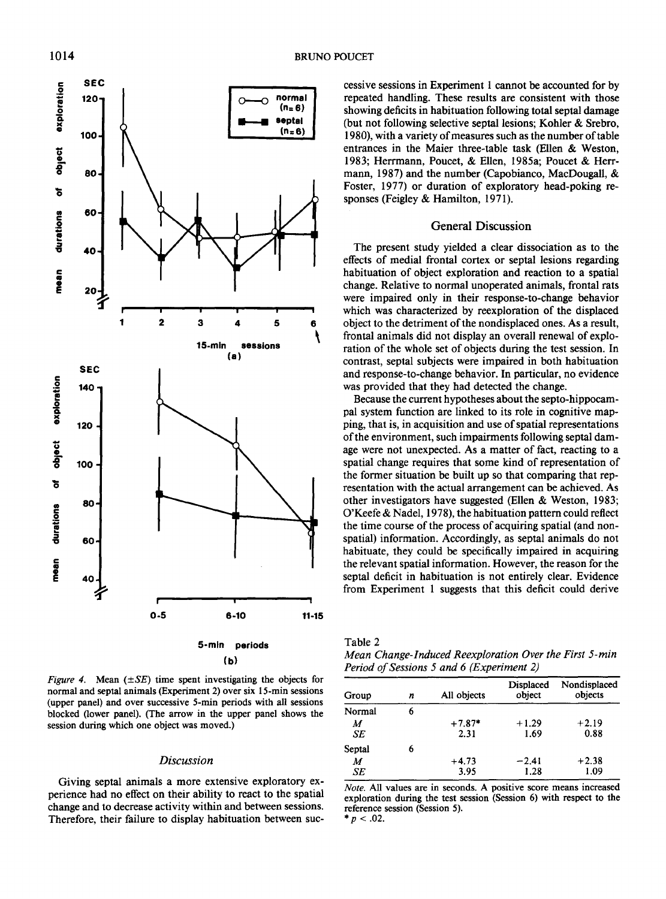

*Figure 4.* Mean  $(\pm SE)$  time spent investigating the objects for normal and seplal animals (Experiment 2) over six 15-min sessions (upper panel) and over successive 5-min periods with all sessions blocked (lower panel). (The arrow in the upper panel shows the session during which one object was moved.)

#### *Discussion*

Giving septal animals a more extensive exploratory experience had no effect on their ability to react to the spatial change and to decrease activity within and between sessions. Therefore, their failure to display habituation between successive sessions in Experiment 1 cannot be accounted for by repeated handling. These results are consistent with those showing deficits in habituation following total septal damage (but not following selective septal lesions; Kohler & Srebro, 1980), with a variety of measures such as the number of table entrances in the Maier three-table task (Ellen & Weston, 1983; Herrmann, Poucet, & Ellen, 1985a; Poucet & Herrmann, 1987) and the number (Capobianco, MacDougall, & Foster, 1977) or duration of exploratory head-poking responses (Feigley & Hamilton, 1971).

## General Discussion

The present study yielded a clear dissociation as to the effects of medial frontal cortex or septal lesions regarding habituation of object exploration and reaction to a spatial change. Relative to normal unoperated animals, frontal rats were impaired only in their response-to-change behavior which was characterized by reexploration of the displaced object to the detriment of the nondisplaced ones. As a result, frontal animals did not display an overall renewal of exploration of the whole set of objects during the test session. In contrast, septal subjects were impaired in both habituation and response-to-change behavior. In particular, no evidence was provided that they had detected the change.

Because the current hypotheses about the septo-hippocampal system function are linked to its role in cognitive mapping, that is, in acquisition and use of spatial representations of the environment, such impairments following septal damage were not unexpected. As a matter of fact, reacting to a spatial change requires that some kind of representation of the former situation be built up so that comparing that representation with the actual arrangement can be achieved. As other investigators have suggested (Ellen & Weston, 1983; O'Keefe & Nadel, 1978), the habituation pattern could reflect the time course of the process of acquiring spatial (and nonspatial) information. Accordingly, as septal animals do not habituate, they could be specifically impaired in acquiring the relevant spatial information. However, the reason for the septal deficit in habituation is not entirely clear. Evidence from Experiment 1 suggests that this deficit could derive

| Table 2 |  |  |
|---------|--|--|
|         |  |  |

*Mean Change-Induced Reexploration Over the First 5-min Period of Sessions 5 and 6 (Experiment 2)* 

| Group  | n | All objects | Displaced<br>object | Nondisplaced<br>obiects |
|--------|---|-------------|---------------------|-------------------------|
| Normal | 6 |             |                     |                         |
| M      |   | $+7.87*$    | $+1.29$             | $+2.19$                 |
| SE     |   | 2.31        | 1.69                | 0.88                    |
| Septal | 6 |             |                     |                         |
| M      |   | $+4.73$     | $-2.41$             | $+2.38$                 |
| SE     |   | 3.95        | 1.28                | 1.09                    |

*Note.* All values are in seconds. A positive score means increased exploration during the test session (Session 6) with respect to the reference session (Session 5).  $* p < .02$ .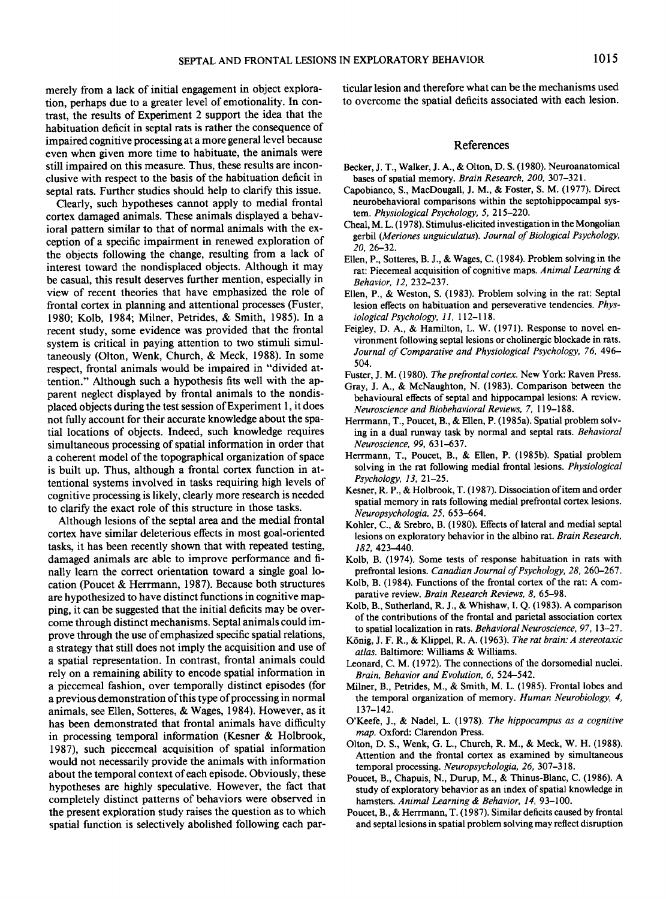merely from a lack of initial engagement in object exploration, perhaps due to a greater level of emotionality. In contrast, the results of Experiment 2 support the idea that the habituation deficit in septal rats is rather the consequence of impaired cognitive processing at a more general level because even when given more time to habituate, the animals were still impaired on this measure. Thus, these results are inconclusive with respect to the basis of the habituation deficit in septal rats. Further studies should help to clarify this issue.

Clearly, such hypotheses cannot apply to medial frontal cortex damaged animals. These animals displayed a behavioral pattern similar to that of normal animals with the exception of a specific impairment in renewed exploration of the objects following the change, resulting from a lack of interest toward the nondisplaced objects. Although it may be casual, this result deserves further mention, especially in view of recent theories that have emphasized the role of frontal cortex in planning and attentional processes (Fuster, 1980; Kolb, 1984; Milner, Petrides, & Smith, 1985). In a recent study, some evidence was provided that the frontal system is critical in paying attention to two stimuli simultaneously (Olton, Wenk, Church, & Meck, 1988). In some respect, frontal animals would be impaired in "divided attention." Although such a hypothesis fits well with the apparent neglect displayed by frontal animals to the nondisplaced objects during the test session of Experiment l, it does not fully account for their accurate knowledge about the spatial locations of objects. Indeed, such knowledge requires simultaneous processing of spatial information in order that a coherent model of the topographical organization of space is built up. Thus, although a frontal cortex function in attentional systems involved in tasks requiring high levels of cognitive processing is likely, clearly more research is needed to clarify the exact role of this structure in those tasks.

Although lesions of the septal area and the medial frontal cortex have similar deleterious effects in most goal-oriented tasks, it has been recently shown that with repeated testing, damaged animals are able to improve performance and finally learn the correct orientation toward a single goal location (Poucet & Herrmann, 1987). Because both structures are hypothesized to have distinct functions in cognitive mapping, it can be suggested that the initial deficits may be overcome through distinct mechanisms. Septal animals could improve through the use of emphasized specific spatial relations, a strategy that still does not imply the acquisition and use of a spatial representation. In contrast, frontal animals could rely on a remaining ability to encode spatial information in a piecemeal fashion, over temporally distinct episodes (for a previous demonstration of this type of processing in normal animals, see Ellen, Sotteres, & Wages, 1984). However, as it has been demonstrated that frontal animals have difficulty in processing temporal information (Kesner & Holbrook, 1987), such piecemeal acquisition of spatial information would not necessarily provide the animals with information about the temporal context of each episode. Obviously, these hypotheses are highly speculative. However, the fact that completely distinct patterns of behaviors were observed in the present exploration study raises the question as to which spatial function is selectively abolished following each particular lesion and therefore what can be the mechanisms used to overcome the spatial deficits associated with each lesion.

#### **References**

- Becker, J. T., Walker, J. A., & Olton, D. S. (1980). Neuroanatomical bases of spatial memory. *Brain Research, 200,* 307-321.
- Capobianco, S., MacDougall, J. M., & Foster, S. M. (1977). Direct neurobehavioral comparisons within the septohippocampal system. *Physiological Psychology,* 5, 215-220.
- Cheat, M. L. (1978). Stimulus-elicited investigation in the Mongolian gerbil *(Meriones unguiculatus). Journal of Biological Psychology, 20,* 26-32.
- Ellen, P., Sotteres, B. J., & Wages, C. (1984). Problem solving in the rat: Piecemeal acquisition of cognitive maps. *Animal Learning & Behavior, 12,* 232-237.
- Ellen, P., & Weston, S. (1983). Problem solving in the rat: Septal lesion effects on habituation and perseverative tendencies. *Physiological Psychology,* 11, 112-118.
- Feigley, D. A., & Hamilton, L. W. (1971). Response to novel environment following septal lesions or cholinergic blockade in rats. *Journal of Comparative and Physiological Psychology, 76,* 496- 504.
- Fuster, J. M. (1980). *The prefrontal cortex.* New York: Raven Press.
- Gray, J. A., & McNaughton, N. (1983). Comparison between the behavioural effects of septal and hippocampal lesions: A review. *Neuroscience and Biobehavioral Reviews,* 7, 119-188.
- Herrmann, T., Poucet, B., & Ellen, P. (1985a). Spatial problem solving in a dual runway task by normal and septal rats. *Behavioral Neuroscience, 99,* 631-637.
- Herrmann, T., Poucet, B., & Ellen, P. (1985b). Spatial problem solving in the rat following medial frontal lesions. *Physiological Psychology, 13,* 21-25.
- Kesner, R. P., & Holbrook, T. (1987). Dissociation of item and order spatial memory in rats following medial prefrontal cortex lesions. *Neuropsychologia, 25,* 653-664.
- Kohler, C., & Srebro, B. (1980). Effects of lateral and medial septal lesions on exploratory behavior in the albino rat. *Brain Research, 182,* 423-440.
- Kolb, B. (1974). Some tests of response habituation in rats with prefrontal lesions. *Canadian Journal of Psychology, 28,* 260-267.
- Kolb, B. (1984). Functions of the frontal cortex of the rat: A comparative review. *Brain Research Reviews, 8,* 65-98.
- Kolb, B., Sutherland, R. J., & Whishaw, I. Q. (1983). A comparison of the contributions of the frontal and parietal association cortex to spatial localization in rats. *Behavioral Neuroscience, 97,* 13-27.
- KSnig, J. F. R., & Klippel, R. A. (1963). *The rat brain:A stereotaxic atlas.* Baltimore: Williams & Williams.
- Leonard, C. M. (1972). The connections of the dorsomedial nuclei. *Brain, Behavior and Evolution, 6,* 524-542.
- Milner, B., Petrides, M., & Smith, M. L. (1985). Frontal lobes and the temporal organization of memory. *Human Neurobiology, 4,*  137-142.
- O'Keefe, J., & Nadel, L. (1978). *The hippocampus as a cognitive map.* Oxford: Clarendon Press.
- Olton, D. S., Wenk, G. L., Church, R. M., & Meck, W. H. (1988). Attention and the frontal cortex as examined by simultaneous temporal processing. *Neuropsychologia, 26,* 307-318.
- Poucet, B., Chapuis, N., Durup, M., & Thinus-Blanc, C. (1986). A study of exploratory behavior as an index of spatial knowledge in hamsters. *Animal Learning & Behavior, 14,* 93-100.
- Poucet, B., & Herrmann, T. (1987). Similar deficits caused by frontal and septal lesions in spatial problem solving may reflect disruption